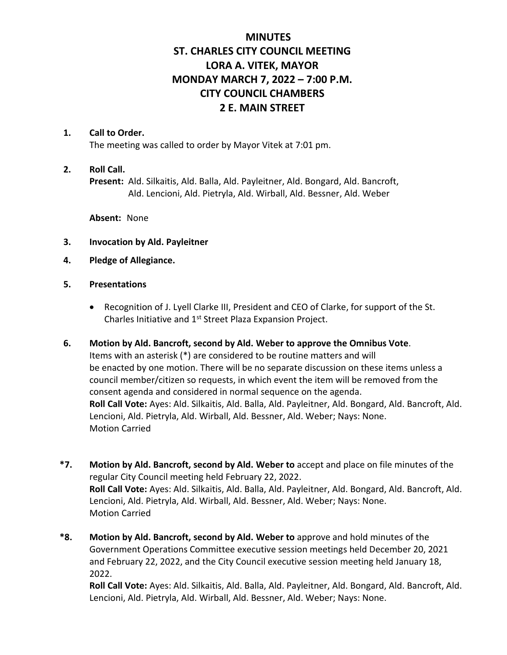# **MINUTES ST. CHARLES CITY COUNCIL MEETING LORA A. VITEK, MAYOR MONDAY MARCH 7, 2022 – 7:00 P.M. CITY COUNCIL CHAMBERS 2 E. MAIN STREET**

#### **1. Call to Order.**

The meeting was called to order by Mayor Vitek at 7:01 pm.

### **2. Roll Call.**

**Present:** Ald. Silkaitis, Ald. Balla, Ald. Payleitner, Ald. Bongard, Ald. Bancroft, Ald. Lencioni, Ald. Pietryla, Ald. Wirball, Ald. Bessner, Ald. Weber

**Absent:** None

- **3. Invocation by Ald. Payleitner**
- **4. Pledge of Allegiance.**
- **5. Presentations**
	- Recognition of J. Lyell Clarke III, President and CEO of Clarke, for support of the St. Charles Initiative and 1<sup>st</sup> Street Plaza Expansion Project.
- **6. Motion by Ald. Bancroft, second by Ald. Weber to approve the Omnibus Vote**. Items with an asterisk (\*) are considered to be routine matters and will be enacted by one motion. There will be no separate discussion on these items unless a council member/citizen so requests, in which event the item will be removed from the consent agenda and considered in normal sequence on the agenda. **Roll Call Vote:** Ayes: Ald. Silkaitis, Ald. Balla, Ald. Payleitner, Ald. Bongard, Ald. Bancroft, Ald. Lencioni, Ald. Pietryla, Ald. Wirball, Ald. Bessner, Ald. Weber; Nays: None. Motion Carried
- **\*7. Motion by Ald. Bancroft, second by Ald. Weber to** accept and place on file minutes of the regular City Council meeting held February 22, 2022. **Roll Call Vote:** Ayes: Ald. Silkaitis, Ald. Balla, Ald. Payleitner, Ald. Bongard, Ald. Bancroft, Ald. Lencioni, Ald. Pietryla, Ald. Wirball, Ald. Bessner, Ald. Weber; Nays: None. Motion Carried
- **\*8. Motion by Ald. Bancroft, second by Ald. Weber to** approve and hold minutes of the Government Operations Committee executive session meetings held December 20, 2021 and February 22, 2022, and the City Council executive session meeting held January 18, 2022.

**Roll Call Vote:** Ayes: Ald. Silkaitis, Ald. Balla, Ald. Payleitner, Ald. Bongard, Ald. Bancroft, Ald. Lencioni, Ald. Pietryla, Ald. Wirball, Ald. Bessner, Ald. Weber; Nays: None.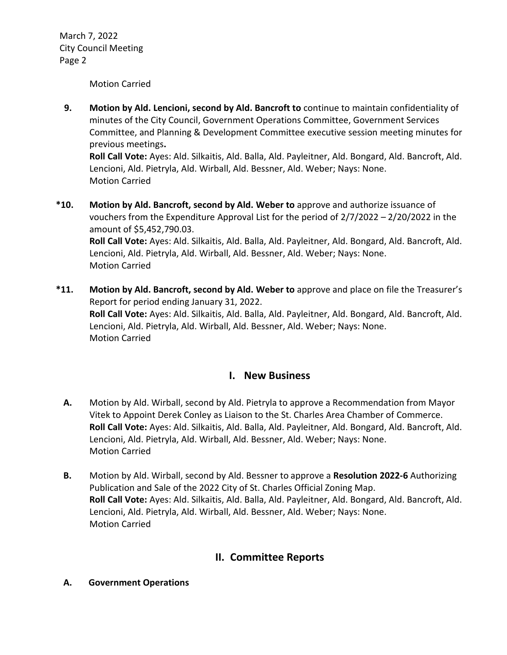Motion Carried

 **9. Motion by Ald. Lencioni, second by Ald. Bancroft to** continue to maintain confidentiality of minutes of the City Council, Government Operations Committee, Government Services Committee, and Planning & Development Committee executive session meeting minutes for previous meetings**.**

**Roll Call Vote:** Ayes: Ald. Silkaitis, Ald. Balla, Ald. Payleitner, Ald. Bongard, Ald. Bancroft, Ald. Lencioni, Ald. Pietryla, Ald. Wirball, Ald. Bessner, Ald. Weber; Nays: None. Motion Carried

- **\*10. Motion by Ald. Bancroft, second by Ald. Weber to** approve and authorize issuance of vouchers from the Expenditure Approval List for the period of 2/7/2022 – 2/20/2022 in the amount of \$5,452,790.03. **Roll Call Vote:** Ayes: Ald. Silkaitis, Ald. Balla, Ald. Payleitner, Ald. Bongard, Ald. Bancroft, Ald. Lencioni, Ald. Pietryla, Ald. Wirball, Ald. Bessner, Ald. Weber; Nays: None. Motion Carried
- **\*11. Motion by Ald. Bancroft, second by Ald. Weber to** approve and place on file the Treasurer's Report for period ending January 31, 2022. **Roll Call Vote:** Ayes: Ald. Silkaitis, Ald. Balla, Ald. Payleitner, Ald. Bongard, Ald. Bancroft, Ald. Lencioni, Ald. Pietryla, Ald. Wirball, Ald. Bessner, Ald. Weber; Nays: None. Motion Carried

### **I. New Business**

- **A.** Motion by Ald. Wirball, second by Ald. Pietryla to approve a Recommendation from Mayor Vitek to Appoint Derek Conley as Liaison to the St. Charles Area Chamber of Commerce. **Roll Call Vote:** Ayes: Ald. Silkaitis, Ald. Balla, Ald. Payleitner, Ald. Bongard, Ald. Bancroft, Ald. Lencioni, Ald. Pietryla, Ald. Wirball, Ald. Bessner, Ald. Weber; Nays: None. Motion Carried
- **B.** Motion by Ald. Wirball, second by Ald. Bessner to approve a **Resolution 2022-6** Authorizing Publication and Sale of the 2022 City of St. Charles Official Zoning Map. **Roll Call Vote:** Ayes: Ald. Silkaitis, Ald. Balla, Ald. Payleitner, Ald. Bongard, Ald. Bancroft, Ald. Lencioni, Ald. Pietryla, Ald. Wirball, Ald. Bessner, Ald. Weber; Nays: None. Motion Carried

## **II. Committee Reports**

**A. Government Operations**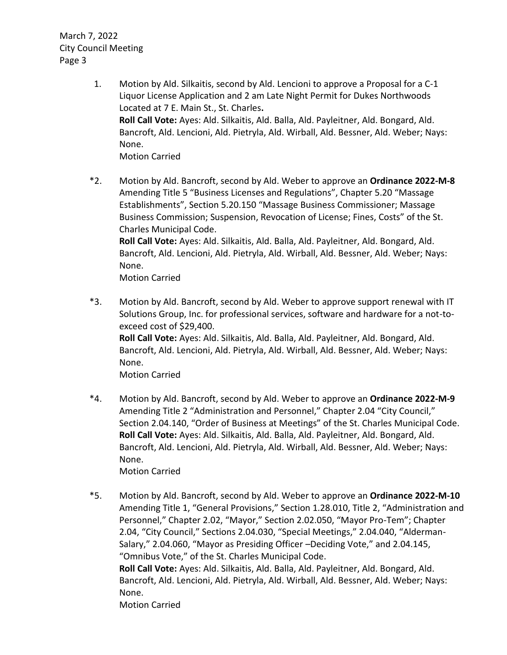- 1. Motion by Ald. Silkaitis, second by Ald. Lencioni to approve a Proposal for a C-1 Liquor License Application and 2 am Late Night Permit for Dukes Northwoods Located at 7 E. Main St., St. Charles**. Roll Call Vote:** Ayes: Ald. Silkaitis, Ald. Balla, Ald. Payleitner, Ald. Bongard, Ald. Bancroft, Ald. Lencioni, Ald. Pietryla, Ald. Wirball, Ald. Bessner, Ald. Weber; Nays: None. Motion Carried
- \*2. Motion by Ald. Bancroft, second by Ald. Weber to approve an **Ordinance 2022-M-8** Amending Title 5 "Business Licenses and Regulations", Chapter 5.20 "Massage Establishments", Section 5.20.150 "Massage Business Commissioner; Massage Business Commission; Suspension, Revocation of License; Fines, Costs" of the St. Charles Municipal Code. **Roll Call Vote:** Ayes: Ald. Silkaitis, Ald. Balla, Ald. Payleitner, Ald. Bongard, Ald. Bancroft, Ald. Lencioni, Ald. Pietryla, Ald. Wirball, Ald. Bessner, Ald. Weber; Nays: None.

Motion Carried

\*3. Motion by Ald. Bancroft, second by Ald. Weber to approve support renewal with IT Solutions Group, Inc. for professional services, software and hardware for a not-toexceed cost of \$29,400. **Roll Call Vote:** Ayes: Ald. Silkaitis, Ald. Balla, Ald. Payleitner, Ald. Bongard, Ald. Bancroft, Ald. Lencioni, Ald. Pietryla, Ald. Wirball, Ald. Bessner, Ald. Weber; Nays: None.

Motion Carried

\*4. Motion by Ald. Bancroft, second by Ald. Weber to approve an **Ordinance 2022-M-9** Amending Title 2 "Administration and Personnel," Chapter 2.04 "City Council," Section 2.04.140, "Order of Business at Meetings" of the St. Charles Municipal Code. **Roll Call Vote:** Ayes: Ald. Silkaitis, Ald. Balla, Ald. Payleitner, Ald. Bongard, Ald. Bancroft, Ald. Lencioni, Ald. Pietryla, Ald. Wirball, Ald. Bessner, Ald. Weber; Nays: None.

Motion Carried

\*5. Motion by Ald. Bancroft, second by Ald. Weber to approve an **Ordinance 2022-M-10** Amending Title 1, "General Provisions," Section 1.28.010, Title 2, "Administration and Personnel," Chapter 2.02, "Mayor," Section 2.02.050, "Mayor Pro-Tem"; Chapter 2.04, "City Council," Sections 2.04.030, "Special Meetings," 2.04.040, "Alderman-Salary," 2.04.060, "Mayor as Presiding Officer –Deciding Vote," and 2.04.145, "Omnibus Vote," of the St. Charles Municipal Code. **Roll Call Vote:** Ayes: Ald. Silkaitis, Ald. Balla, Ald. Payleitner, Ald. Bongard, Ald. Bancroft, Ald. Lencioni, Ald. Pietryla, Ald. Wirball, Ald. Bessner, Ald. Weber; Nays: None.

Motion Carried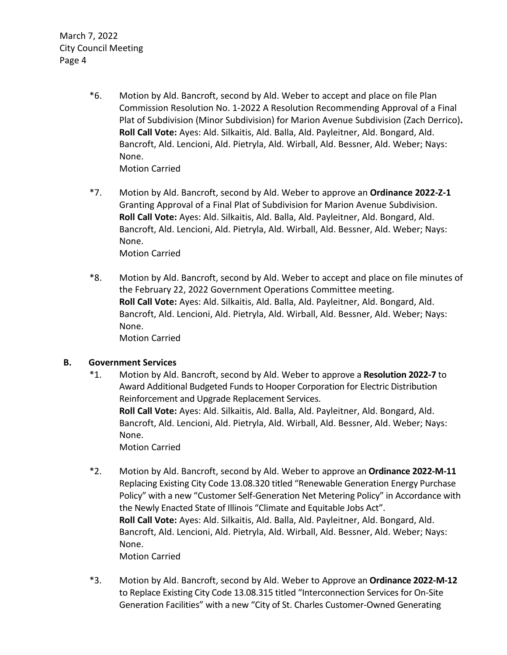> \*6. Motion by Ald. Bancroft, second by Ald. Weber to accept and place on file Plan Commission Resolution No. 1-2022 A Resolution Recommending Approval of a Final Plat of Subdivision (Minor Subdivision) for Marion Avenue Subdivision (Zach Derrico)**. Roll Call Vote:** Ayes: Ald. Silkaitis, Ald. Balla, Ald. Payleitner, Ald. Bongard, Ald. Bancroft, Ald. Lencioni, Ald. Pietryla, Ald. Wirball, Ald. Bessner, Ald. Weber; Nays: None.

Motion Carried

\*7. Motion by Ald. Bancroft, second by Ald. Weber to approve an **Ordinance 2022-Z-1** Granting Approval of a Final Plat of Subdivision for Marion Avenue Subdivision. **Roll Call Vote:** Ayes: Ald. Silkaitis, Ald. Balla, Ald. Payleitner, Ald. Bongard, Ald. Bancroft, Ald. Lencioni, Ald. Pietryla, Ald. Wirball, Ald. Bessner, Ald. Weber; Nays: None.

Motion Carried

\*8. Motion by Ald. Bancroft, second by Ald. Weber to accept and place on file minutes of the February 22, 2022 Government Operations Committee meeting. **Roll Call Vote:** Ayes: Ald. Silkaitis, Ald. Balla, Ald. Payleitner, Ald. Bongard, Ald. Bancroft, Ald. Lencioni, Ald. Pietryla, Ald. Wirball, Ald. Bessner, Ald. Weber; Nays: None. Motion Carried

### **B. Government Services**

- \*1. Motion by Ald. Bancroft, second by Ald. Weber to approve a **Resolution 2022-7** to Award Additional Budgeted Funds to Hooper Corporation for Electric Distribution Reinforcement and Upgrade Replacement Services. **Roll Call Vote:** Ayes: Ald. Silkaitis, Ald. Balla, Ald. Payleitner, Ald. Bongard, Ald. Bancroft, Ald. Lencioni, Ald. Pietryla, Ald. Wirball, Ald. Bessner, Ald. Weber; Nays: None. Motion Carried
- \*2. Motion by Ald. Bancroft, second by Ald. Weber to approve an **Ordinance 2022-M-11** Replacing Existing City Code 13.08.320 titled "Renewable Generation Energy Purchase Policy" with a new "Customer Self-Generation Net Metering Policy" in Accordance with the Newly Enacted State of Illinois "Climate and Equitable Jobs Act". **Roll Call Vote:** Ayes: Ald. Silkaitis, Ald. Balla, Ald. Payleitner, Ald. Bongard, Ald. Bancroft, Ald. Lencioni, Ald. Pietryla, Ald. Wirball, Ald. Bessner, Ald. Weber; Nays: None. Motion Carried
- \*3. Motion by Ald. Bancroft, second by Ald. Weber to Approve an **Ordinance 2022-M-12** to Replace Existing City Code 13.08.315 titled "Interconnection Services for On-Site Generation Facilities" with a new "City of St. Charles Customer-Owned Generating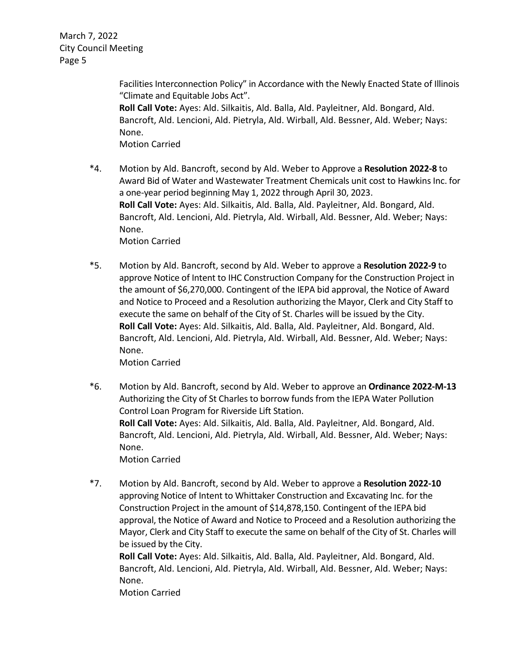> Facilities Interconnection Policy" in Accordance with the Newly Enacted State of Illinois "Climate and Equitable Jobs Act". **Roll Call Vote:** Ayes: Ald. Silkaitis, Ald. Balla, Ald. Payleitner, Ald. Bongard, Ald. Bancroft, Ald. Lencioni, Ald. Pietryla, Ald. Wirball, Ald. Bessner, Ald. Weber; Nays: None. Motion Carried

- \*4. Motion by Ald. Bancroft, second by Ald. Weber to Approve a **Resolution 2022-8** to Award Bid of Water and Wastewater Treatment Chemicals unit cost to Hawkins Inc. for a one-year period beginning May 1, 2022 through April 30, 2023. **Roll Call Vote:** Ayes: Ald. Silkaitis, Ald. Balla, Ald. Payleitner, Ald. Bongard, Ald. Bancroft, Ald. Lencioni, Ald. Pietryla, Ald. Wirball, Ald. Bessner, Ald. Weber; Nays: None. Motion Carried
- \*5. Motion by Ald. Bancroft, second by Ald. Weber to approve a **Resolution 2022-9** to approve Notice of Intent to IHC Construction Company for the Construction Project in the amount of \$6,270,000. Contingent of the IEPA bid approval, the Notice of Award and Notice to Proceed and a Resolution authorizing the Mayor, Clerk and City Staff to execute the same on behalf of the City of St. Charles will be issued by the City. **Roll Call Vote:** Ayes: Ald. Silkaitis, Ald. Balla, Ald. Payleitner, Ald. Bongard, Ald. Bancroft, Ald. Lencioni, Ald. Pietryla, Ald. Wirball, Ald. Bessner, Ald. Weber; Nays: None.

Motion Carried

\*6. Motion by Ald. Bancroft, second by Ald. Weber to approve an **Ordinance 2022-M-13** Authorizing the City of St Charles to borrow funds from the IEPA Water Pollution Control Loan Program for Riverside Lift Station. **Roll Call Vote:** Ayes: Ald. Silkaitis, Ald. Balla, Ald. Payleitner, Ald. Bongard, Ald. Bancroft, Ald. Lencioni, Ald. Pietryla, Ald. Wirball, Ald. Bessner, Ald. Weber; Nays: None. Motion Carried

\*7. Motion by Ald. Bancroft, second by Ald. Weber to approve a **Resolution 2022-10** approving Notice of Intent to Whittaker Construction and Excavating Inc. for the Construction Project in the amount of \$14,878,150. Contingent of the IEPA bid approval, the Notice of Award and Notice to Proceed and a Resolution authorizing the Mayor, Clerk and City Staff to execute the same on behalf of the City of St. Charles will be issued by the City.

**Roll Call Vote:** Ayes: Ald. Silkaitis, Ald. Balla, Ald. Payleitner, Ald. Bongard, Ald. Bancroft, Ald. Lencioni, Ald. Pietryla, Ald. Wirball, Ald. Bessner, Ald. Weber; Nays: None.

Motion Carried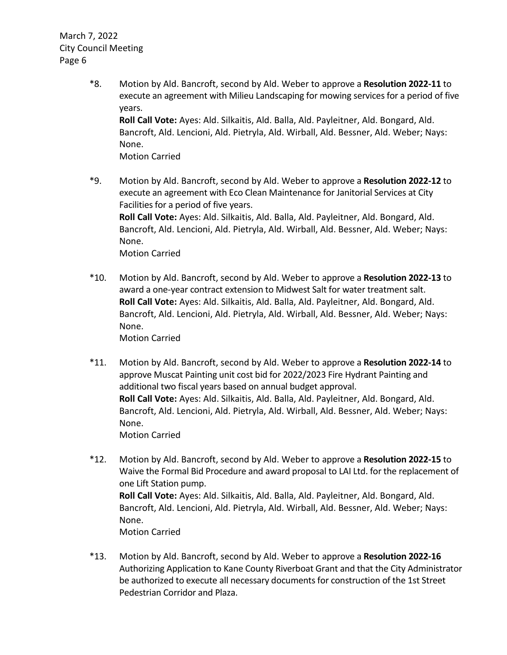- \*8. Motion by Ald. Bancroft, second by Ald. Weber to approve a **Resolution 2022-11** to execute an agreement with Milieu Landscaping for mowing services for a period of five years. **Roll Call Vote:** Ayes: Ald. Silkaitis, Ald. Balla, Ald. Payleitner, Ald. Bongard, Ald. Bancroft, Ald. Lencioni, Ald. Pietryla, Ald. Wirball, Ald. Bessner, Ald. Weber; Nays: None. Motion Carried
- \*9. Motion by Ald. Bancroft, second by Ald. Weber to approve a **Resolution 2022-12** to execute an agreement with Eco Clean Maintenance for Janitorial Services at City Facilities for a period of five years. **Roll Call Vote:** Ayes: Ald. Silkaitis, Ald. Balla, Ald. Payleitner, Ald. Bongard, Ald. Bancroft, Ald. Lencioni, Ald. Pietryla, Ald. Wirball, Ald. Bessner, Ald. Weber; Nays: None. Motion Carried
- \*10. Motion by Ald. Bancroft, second by Ald. Weber to approve a **Resolution 2022-13** to award a one-year contract extension to Midwest Salt for water treatment salt. **Roll Call Vote:** Ayes: Ald. Silkaitis, Ald. Balla, Ald. Payleitner, Ald. Bongard, Ald. Bancroft, Ald. Lencioni, Ald. Pietryla, Ald. Wirball, Ald. Bessner, Ald. Weber; Nays: None. Motion Carried
- \*11. Motion by Ald. Bancroft, second by Ald. Weber to approve a **Resolution 2022-14** to approve Muscat Painting unit cost bid for 2022/2023 Fire Hydrant Painting and additional two fiscal years based on annual budget approval. **Roll Call Vote:** Ayes: Ald. Silkaitis, Ald. Balla, Ald. Payleitner, Ald. Bongard, Ald. Bancroft, Ald. Lencioni, Ald. Pietryla, Ald. Wirball, Ald. Bessner, Ald. Weber; Nays: None. Motion Carried
- \*12. Motion by Ald. Bancroft, second by Ald. Weber to approve a **Resolution 2022-15** to Waive the Formal Bid Procedure and award proposal to LAI Ltd. for the replacement of one Lift Station pump. **Roll Call Vote:** Ayes: Ald. Silkaitis, Ald. Balla, Ald. Payleitner, Ald. Bongard, Ald. Bancroft, Ald. Lencioni, Ald. Pietryla, Ald. Wirball, Ald. Bessner, Ald. Weber; Nays: None. Motion Carried
- \*13. Motion by Ald. Bancroft, second by Ald. Weber to approve a **Resolution 2022-16** Authorizing Application to Kane County Riverboat Grant and that the City Administrator be authorized to execute all necessary documents for construction of the 1st Street Pedestrian Corridor and Plaza.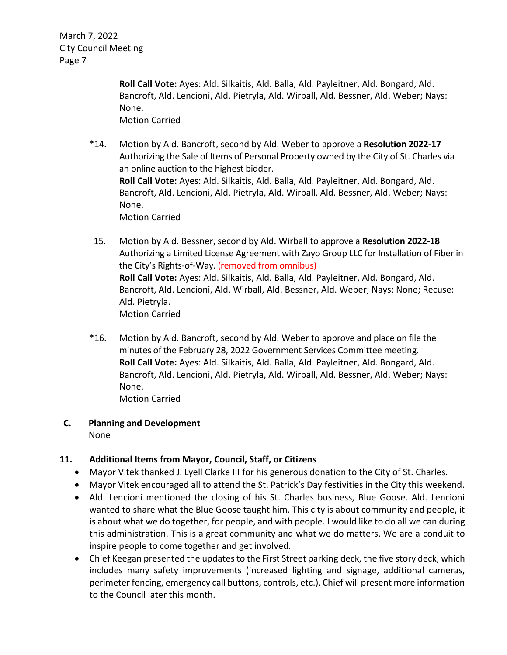> **Roll Call Vote:** Ayes: Ald. Silkaitis, Ald. Balla, Ald. Payleitner, Ald. Bongard, Ald. Bancroft, Ald. Lencioni, Ald. Pietryla, Ald. Wirball, Ald. Bessner, Ald. Weber; Nays: None. Motion Carried

- \*14. Motion by Ald. Bancroft, second by Ald. Weber to approve a **Resolution 2022-17** Authorizing the Sale of Items of Personal Property owned by the City of St. Charles via an online auction to the highest bidder. **Roll Call Vote:** Ayes: Ald. Silkaitis, Ald. Balla, Ald. Payleitner, Ald. Bongard, Ald. Bancroft, Ald. Lencioni, Ald. Pietryla, Ald. Wirball, Ald. Bessner, Ald. Weber; Nays: None. Motion Carried
- 15. Motion by Ald. Bessner, second by Ald. Wirball to approve a **Resolution 2022-18** Authorizing a Limited License Agreement with Zayo Group LLC for Installation of Fiber in the City's Rights-of-Way. (removed from omnibus) **Roll Call Vote:** Ayes: Ald. Silkaitis, Ald. Balla, Ald. Payleitner, Ald. Bongard, Ald. Bancroft, Ald. Lencioni, Ald. Wirball, Ald. Bessner, Ald. Weber; Nays: None; Recuse: Ald. Pietryla. Motion Carried
- \*16. Motion by Ald. Bancroft, second by Ald. Weber to approve and place on file the minutes of the February 28, 2022 Government Services Committee meeting. **Roll Call Vote:** Ayes: Ald. Silkaitis, Ald. Balla, Ald. Payleitner, Ald. Bongard, Ald. Bancroft, Ald. Lencioni, Ald. Pietryla, Ald. Wirball, Ald. Bessner, Ald. Weber; Nays: None. Motion Carried

### **C. Planning and Development**

None

### **11. Additional Items from Mayor, Council, Staff, or Citizens**

- Mayor Vitek thanked J. Lyell Clarke III for his generous donation to the City of St. Charles.
- Mayor Vitek encouraged all to attend the St. Patrick's Day festivities in the City this weekend.
- Ald. Lencioni mentioned the closing of his St. Charles business, Blue Goose. Ald. Lencioni wanted to share what the Blue Goose taught him. This city is about community and people, it is about what we do together, for people, and with people. I would like to do all we can during this administration. This is a great community and what we do matters. We are a conduit to inspire people to come together and get involved.
- Chief Keegan presented the updates to the First Street parking deck, the five story deck, which includes many safety improvements (increased lighting and signage, additional cameras, perimeter fencing, emergency call buttons, controls, etc.). Chief will present more information to the Council later this month.